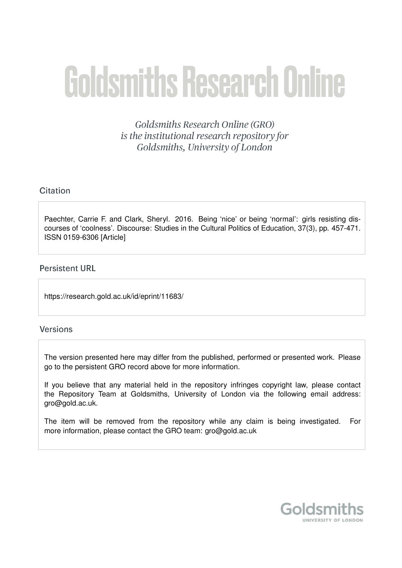# **Goldsmiths Research Online**

Goldsmiths Research Online (GRO) is the institutional research repository for Goldsmiths, University of London

# Citation

Paechter, Carrie F. and Clark, Sheryl. 2016. Being 'nice' or being 'normal': girls resisting discourses of 'coolness'. Discourse: Studies in the Cultural Politics of Education, 37(3), pp. 457-471. ISSN 0159-6306 [Article]

# **Persistent URL**

https://research.gold.ac.uk/id/eprint/11683/

# **Versions**

The version presented here may differ from the published, performed or presented work. Please go to the persistent GRO record above for more information.

If you believe that any material held in the repository infringes copyright law, please contact the Repository Team at Goldsmiths, University of London via the following email address: gro@gold.ac.uk.

The item will be removed from the repository while any claim is being investigated. For more information, please contact the GRO team: gro@gold.ac.uk

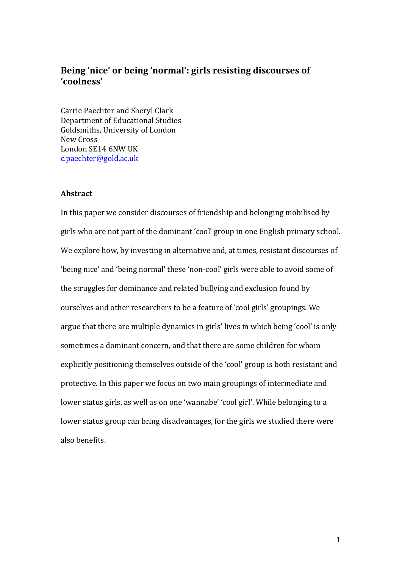# **Being 'nice' or being 'normal': girls resisting discourses of 'coolness'**

Carrie Paechter and Sheryl Clark Department of Educational Studies Goldsmiths, University of London New Cross London SE14 6NW UK [c.paechter@gold.ac.uk](mailto:c.paechter@gold.ac.uk)

#### **Abstract**

In this paper we consider discourses of friendship and belonging mobilised by girls who are not part of the dominant 'cool' group in one English primary school. We explore how, by investing in alternative and, at times, resistant discourses of 'being nice' and 'being normal' these 'non-cool' girls were able to avoid some of the struggles for dominance and related bullying and exclusion found by ourselves and other researchers to be a feature of 'cool girls' groupings. We argue that there are multiple dynamics in girls' lives in which being 'cool' is only sometimes a dominant concern, and that there are some children for whom explicitly positioning themselves outside of the 'cool' group is both resistant and protective. In this paper we focus on two main groupings of intermediate and lower status girls, as well as on one 'wannabe' 'cool girl'. While belonging to a lower status group can bring disadvantages, for the girls we studied there were also benefits.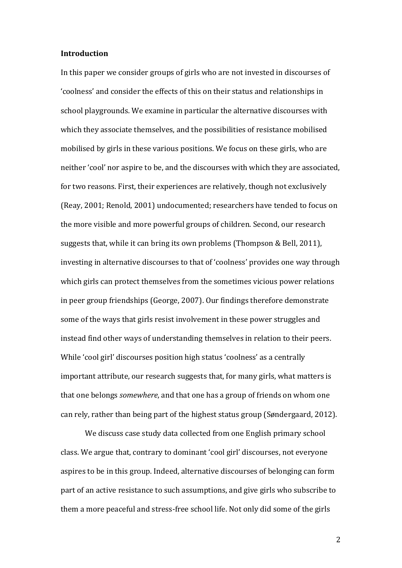#### **Introduction**

In this paper we consider groups of girls who are not invested in discourses of 'coolness' and consider the effects of this on their status and relationships in school playgrounds. We examine in particular the alternative discourses with which they associate themselves, and the possibilities of resistance mobilised mobilised by girls in these various positions. We focus on these girls, who are neither 'cool' nor aspire to be, and the discourses with which they are associated, for two reasons. First, their experiences are relatively, though not exclusively (Reay, 2001; Renold, 2001) undocumented; researchers have tended to focus on the more visible and more powerful groups of children. Second, our research suggests that, while it can bring its own problems (Thompson & Bell, 2011), investing in alternative discourses to that of 'coolness' provides one way through which girls can protect themselves from the sometimes vicious power relations in peer group friendships (George, 2007). Our findings therefore demonstrate some of the ways that girls resist involvement in these power struggles and instead find other ways of understanding themselves in relation to their peers. While 'cool girl' discourses position high status 'coolness' as a centrally important attribute, our research suggests that, for many girls, what matters is that one belongs *somewhere*, and that one has a group of friends on whom one can rely, rather than being part of the highest status group (Søndergaard, 2012).

We discuss case study data collected from one English primary school class. We argue that, contrary to dominant 'cool girl' discourses, not everyone aspires to be in this group. Indeed, alternative discourses of belonging can form part of an active resistance to such assumptions, and give girls who subscribe to them a more peaceful and stress-free school life. Not only did some of the girls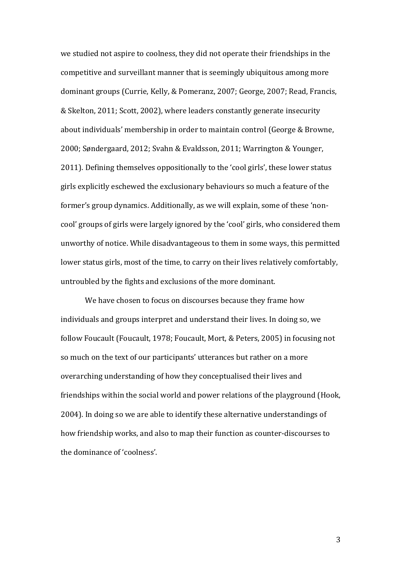we studied not aspire to coolness, they did not operate their friendships in the competitive and surveillant manner that is seemingly ubiquitous among more dominant groups (Currie, Kelly, & Pomeranz, 2007; George, 2007; Read, Francis, & Skelton, 2011; Scott, 2002), where leaders constantly generate insecurity about individuals' membership in order to maintain control (George & Browne, 2000; Søndergaard, 2012; Svahn & Evaldsson, 2011; Warrington & Younger, 2011). Defining themselves oppositionally to the 'cool girls', these lower status girls explicitly eschewed the exclusionary behaviours so much a feature of the former's group dynamics. Additionally, as we will explain, some of these 'noncool' groups of girls were largely ignored by the 'cool' girls, who considered them unworthy of notice. While disadvantageous to them in some ways, this permitted lower status girls, most of the time, to carry on their lives relatively comfortably, untroubled by the fights and exclusions of the more dominant.

We have chosen to focus on discourses because they frame how individuals and groups interpret and understand their lives. In doing so, we follow Foucault (Foucault, 1978; Foucault, Mort, & Peters, 2005) in focusing not so much on the text of our participants' utterances but rather on a more overarching understanding of how they conceptualised their lives and friendships within the social world and power relations of the playground (Hook, 2004). In doing so we are able to identify these alternative understandings of how friendship works, and also to map their function as counter-discourses to the dominance of 'coolness'.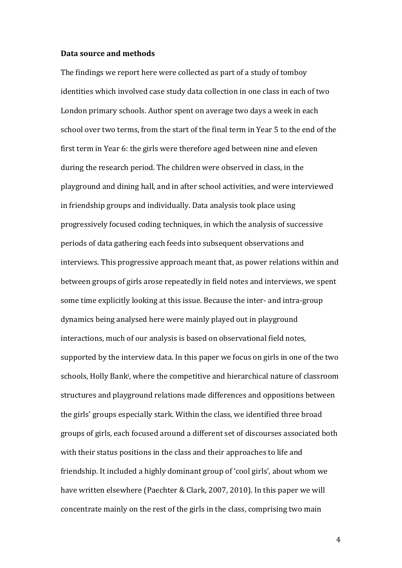#### **Data source and methods**

The findings we report here were collected as part of a study of tomboy identities which involved case study data collection in one class in each of two London primary schools. Author spent on average two days a week in each school over two terms, from the start of the final term in Year 5 to the end of the first term in Year 6: the girls were therefore aged between nine and eleven during the research period. The children were observed in class, in the playground and dining hall, and in after school activities, and were interviewed in friendship groups and individually. Data analysis took place using progressively focused coding techniques, in which the analysis of successive periods of data gathering each feeds into subsequent observations and interviews. This progressive approach meant that, as power relations within and between groups of girls arose repeatedly in field notes and interviews, we spent some time explicitly looking at this issue. Because the inter- and intra-group dynamics being analysed here were mainly played out in playground interactions, much of our analysis is based on observational field notes, supported by the interview data. In this paper we focus on girls in one of the two schools, Holly Bank<sup>i</sup>, where the competitive and hierarchical nature of classroom structures and playground relations made differences and oppositions between the girls' groups especially stark. Within the class, we identified three broad groups of girls, each focused around a different set of discourses associated both with their status positions in the class and their approaches to life and friendship. It included a highly dominant group of 'cool girls', about whom we have written elsewhere (Paechter & Clark, 2007, 2010). In this paper we will concentrate mainly on the rest of the girls in the class, comprising two main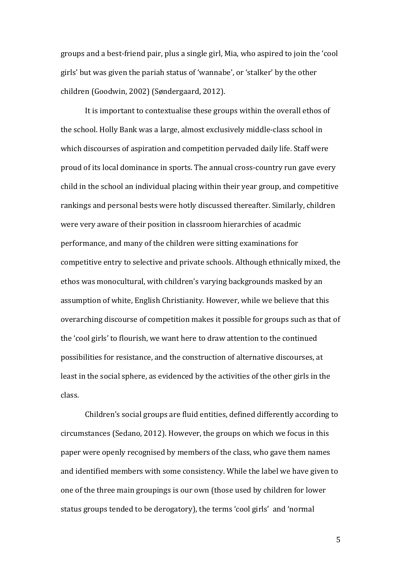groups and a best-friend pair, plus a single girl, Mia, who aspired to join the 'cool girls' but was given the pariah status of 'wannabe', or 'stalker' by the other children (Goodwin, 2002) (Søndergaard, 2012).

It is important to contextualise these groups within the overall ethos of the school. Holly Bank was a large, almost exclusively middle-class school in which discourses of aspiration and competition pervaded daily life. Staff were proud of its local dominance in sports. The annual cross-country run gave every child in the school an individual placing within their year group, and competitive rankings and personal bests were hotly discussed thereafter. Similarly, children were very aware of their position in classroom hierarchies of acadmic performance, and many of the children were sitting examinations for competitive entry to selective and private schools. Although ethnically mixed, the ethos was monocultural, with children's varying backgrounds masked by an assumption of white, English Christianity. However, while we believe that this overarching discourse of competition makes it possible for groups such as that of the 'cool girls' to flourish, we want here to draw attention to the continued possibilities for resistance, and the construction of alternative discourses, at least in the social sphere, as evidenced by the activities of the other girls in the class.

Children's social groups are fluid entities, defined differently according to circumstances (Sedano, 2012). However, the groups on which we focus in this paper were openly recognised by members of the class, who gave them names and identified members with some consistency. While the label we have given to one of the three main groupings is our own (those used by children for lower status groups tended to be derogatory), the terms 'cool girls' and 'normal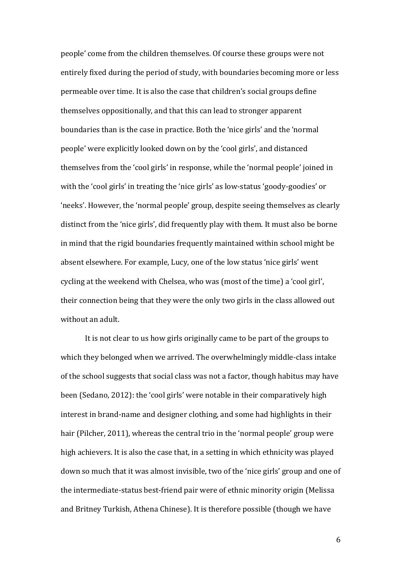people' come from the children themselves. Of course these groups were not entirely fixed during the period of study, with boundaries becoming more or less permeable over time. It is also the case that children's social groups define themselves oppositionally, and that this can lead to stronger apparent boundaries than is the case in practice. Both the 'nice girls' and the 'normal people' were explicitly looked down on by the 'cool girls', and distanced themselves from the 'cool girls' in response, while the 'normal people' joined in with the 'cool girls' in treating the 'nice girls' as low-status 'goody-goodies' or 'neeks'. However, the 'normal people' group, despite seeing themselves as clearly distinct from the 'nice girls', did frequently play with them. It must also be borne in mind that the rigid boundaries frequently maintained within school might be absent elsewhere. For example, Lucy, one of the low status 'nice girls' went cycling at the weekend with Chelsea, who was (most of the time) a 'cool girl', their connection being that they were the only two girls in the class allowed out without an adult.

It is not clear to us how girls originally came to be part of the groups to which they belonged when we arrived. The overwhelmingly middle-class intake of the school suggests that social class was not a factor, though habitus may have been (Sedano, 2012): the 'cool girls' were notable in their comparatively high interest in brand-name and designer clothing, and some had highlights in their hair (Pilcher, 2011), whereas the central trio in the 'normal people' group were high achievers. It is also the case that, in a setting in which ethnicity was played down so much that it was almost invisible, two of the 'nice girls' group and one of the intermediate-status best-friend pair were of ethnic minority origin (Melissa and Britney Turkish, Athena Chinese). It is therefore possible (though we have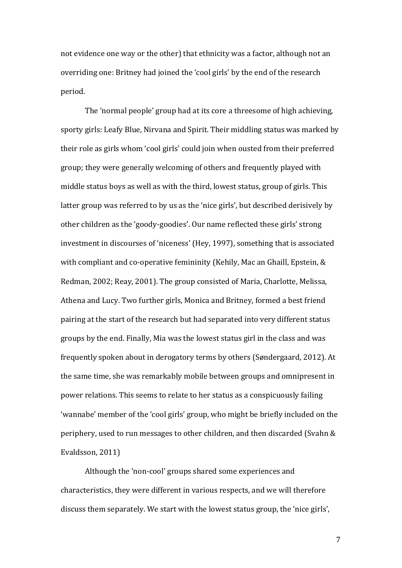not evidence one way or the other) that ethnicity was a factor, although not an overriding one: Britney had joined the 'cool girls' by the end of the research period.

The 'normal people' group had at its core a threesome of high achieving, sporty girls: Leafy Blue, Nirvana and Spirit. Their middling status was marked by their role as girls whom 'cool girls' could join when ousted from their preferred group; they were generally welcoming of others and frequently played with middle status boys as well as with the third, lowest status, group of girls. This latter group was referred to by us as the 'nice girls', but described derisively by other children as the 'goody-goodies'. Our name reflected these girls' strong investment in discourses of 'niceness' (Hey, 1997), something that is associated with compliant and co-operative femininity (Kehily, Mac an Ghaill, Epstein, & Redman, 2002; Reay, 2001). The group consisted of Maria, Charlotte, Melissa, Athena and Lucy. Two further girls, Monica and Britney, formed a best friend pairing at the start of the research but had separated into very different status groups by the end. Finally, Mia was the lowest status girl in the class and was frequently spoken about in derogatory terms by others (Søndergaard, 2012). At the same time, she was remarkably mobile between groups and omnipresent in power relations. This seems to relate to her status as a conspicuously failing 'wannabe' member of the 'cool girls' group, who might be briefly included on the periphery, used to run messages to other children, and then discarded (Svahn & Evaldsson, 2011)

Although the 'non-cool' groups shared some experiences and characteristics, they were different in various respects, and we will therefore discuss them separately. We start with the lowest status group, the 'nice girls',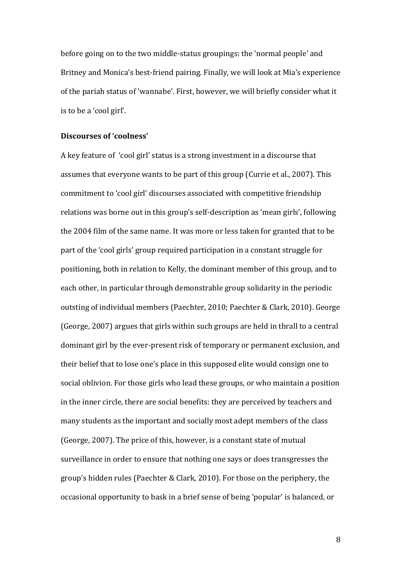before going on to the two middle-status groupings: the 'normal people' and Britney and Monica's best-friend pairing. Finally, we will look at Mia's experience of the pariah status of 'wannabe'. First, however, we will briefly consider what it is to be a 'cool girl'.

#### **Discourses of 'coolness'**

A key feature of 'cool girl' status is a strong investment in a discourse that assumes that everyone wants to be part of this group (Currie et al., 2007). This commitment to 'cool girl' discourses associated with competitive friendship relations was borne out in this group's self-description as 'mean girls', following the 2004 film of the same name. It was more or less taken for granted that to be part of the 'cool girls' group required participation in a constant struggle for positioning, both in relation to Kelly, the dominant member of this group, and to each other, in particular through demonstrable group solidarity in the periodic outsting of individual members (Paechter, 2010; Paechter & Clark, 2010). George (George, 2007) argues that girls within such groups are held in thrall to a central dominant girl by the ever-present risk of temporary or permanent exclusion, and their belief that to lose one's place in this supposed elite would consign one to social oblivion. For those girls who lead these groups, or who maintain a position in the inner circle, there are social benefits: they are perceived by teachers and many students as the important and socially most adept members of the class (George, 2007). The price of this, however, is a constant state of mutual surveillance in order to ensure that nothing one says or does transgresses the group's hidden rules (Paechter & Clark, 2010). For those on the periphery, the occasional opportunity to bask in a brief sense of being 'popular' is balanced, or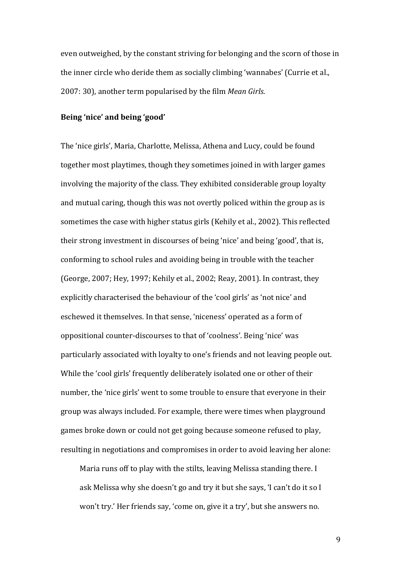even outweighed, by the constant striving for belonging and the scorn of those in the inner circle who deride them as socially climbing 'wannabes' (Currie et al., 2007: 30), another term popularised by the film *Mean Girls*.

## **Being 'nice' and being 'good'**

The 'nice girls', Maria, Charlotte, Melissa, Athena and Lucy, could be found together most playtimes, though they sometimes joined in with larger games involving the majority of the class. They exhibited considerable group loyalty and mutual caring, though this was not overtly policed within the group as is sometimes the case with higher status girls (Kehily et al., 2002). This reflected their strong investment in discourses of being 'nice' and being 'good', that is, conforming to school rules and avoiding being in trouble with the teacher (George, 2007; Hey, 1997; Kehily et al., 2002; Reay, 2001). In contrast, they explicitly characterised the behaviour of the 'cool girls' as 'not nice' and eschewed it themselves. In that sense, 'niceness' operated as a form of oppositional counter-discourses to that of 'coolness'. Being 'nice' was particularly associated with loyalty to one's friends and not leaving people out. While the 'cool girls' frequently deliberately isolated one or other of their number, the 'nice girls' went to some trouble to ensure that everyone in their group was always included. For example, there were times when playground games broke down or could not get going because someone refused to play, resulting in negotiations and compromises in order to avoid leaving her alone:

Maria runs off to play with the stilts, leaving Melissa standing there. I ask Melissa why she doesn't go and try it but she says, 'I can't do it so I won't try.' Her friends say, 'come on, give it a try', but she answers no.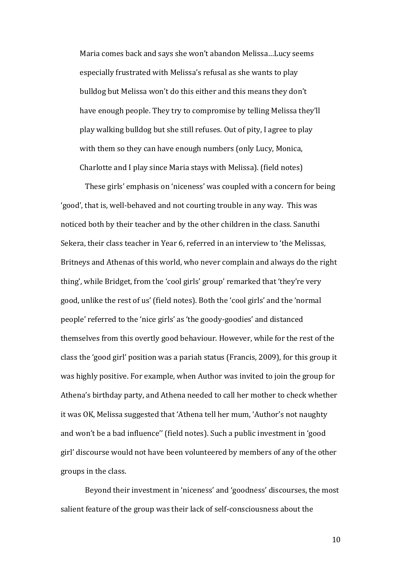Maria comes back and says she won't abandon Melissa…Lucy seems especially frustrated with Melissa's refusal as she wants to play bulldog but Melissa won't do this either and this means they don't have enough people. They try to compromise by telling Melissa they'll play walking bulldog but she still refuses. Out of pity, I agree to play with them so they can have enough numbers (only Lucy, Monica, Charlotte and I play since Maria stays with Melissa). (field notes)

These girls' emphasis on 'niceness' was coupled with a concern for being 'good', that is, well-behaved and not courting trouble in any way. This was noticed both by their teacher and by the other children in the class. Sanuthi Sekera, their class teacher in Year 6, referred in an interview to 'the Melissas, Britneys and Athenas of this world, who never complain and always do the right thing', while Bridget, from the 'cool girls' group' remarked that 'they're very good, unlike the rest of us' (field notes). Both the 'cool girls' and the 'normal people' referred to the 'nice girls' as 'the goody-goodies' and distanced themselves from this overtly good behaviour. However, while for the rest of the class the 'good girl' position was a pariah status (Francis, 2009), for this group it was highly positive. For example, when Author was invited to join the group for Athena's birthday party, and Athena needed to call her mother to check whether it was OK, Melissa suggested that 'Athena tell her mum, 'Author's not naughty and won't be a bad influence'' (field notes). Such a public investment in 'good girl' discourse would not have been volunteered by members of any of the other groups in the class.

Beyond their investment in 'niceness' and 'goodness' discourses, the most salient feature of the group was their lack of self-consciousness about the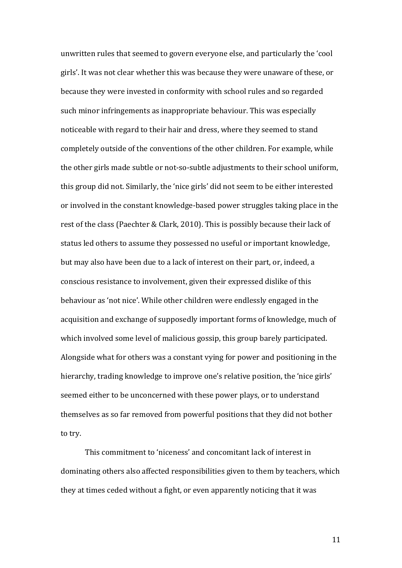unwritten rules that seemed to govern everyone else, and particularly the 'cool girls'. It was not clear whether this was because they were unaware of these, or because they were invested in conformity with school rules and so regarded such minor infringements as inappropriate behaviour. This was especially noticeable with regard to their hair and dress, where they seemed to stand completely outside of the conventions of the other children. For example, while the other girls made subtle or not-so-subtle adjustments to their school uniform, this group did not. Similarly, the 'nice girls' did not seem to be either interested or involved in the constant knowledge-based power struggles taking place in the rest of the class (Paechter & Clark, 2010). This is possibly because their lack of status led others to assume they possessed no useful or important knowledge, but may also have been due to a lack of interest on their part, or, indeed, a conscious resistance to involvement, given their expressed dislike of this behaviour as 'not nice'. While other children were endlessly engaged in the acquisition and exchange of supposedly important forms of knowledge, much of which involved some level of malicious gossip, this group barely participated. Alongside what for others was a constant vying for power and positioning in the hierarchy, trading knowledge to improve one's relative position, the 'nice girls' seemed either to be unconcerned with these power plays, or to understand themselves as so far removed from powerful positions that they did not bother to try.

This commitment to 'niceness' and concomitant lack of interest in dominating others also affected responsibilities given to them by teachers, which they at times ceded without a fight, or even apparently noticing that it was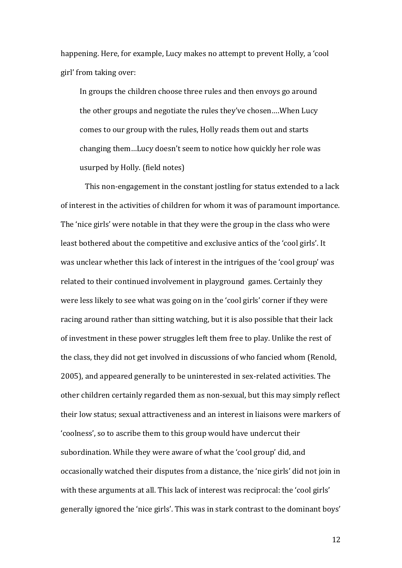happening. Here, for example, Lucy makes no attempt to prevent Holly, a 'cool girl' from taking over:

In groups the children choose three rules and then envoys go around the other groups and negotiate the rules they've chosen….When Lucy comes to our group with the rules, Holly reads them out and starts changing them…Lucy doesn't seem to notice how quickly her role was usurped by Holly. (field notes)

This non-engagement in the constant jostling for status extended to a lack of interest in the activities of children for whom it was of paramount importance. The 'nice girls' were notable in that they were the group in the class who were least bothered about the competitive and exclusive antics of the 'cool girls'. It was unclear whether this lack of interest in the intrigues of the 'cool group' was related to their continued involvement in playground games. Certainly they were less likely to see what was going on in the 'cool girls' corner if they were racing around rather than sitting watching, but it is also possible that their lack of investment in these power struggles left them free to play. Unlike the rest of the class, they did not get involved in discussions of who fancied whom (Renold, 2005), and appeared generally to be uninterested in sex-related activities. The other children certainly regarded them as non-sexual, but this may simply reflect their low status; sexual attractiveness and an interest in liaisons were markers of 'coolness', so to ascribe them to this group would have undercut their subordination. While they were aware of what the 'cool group' did, and occasionally watched their disputes from a distance, the 'nice girls' did not join in with these arguments at all. This lack of interest was reciprocal: the 'cool girls' generally ignored the 'nice girls'. This was in stark contrast to the dominant boys'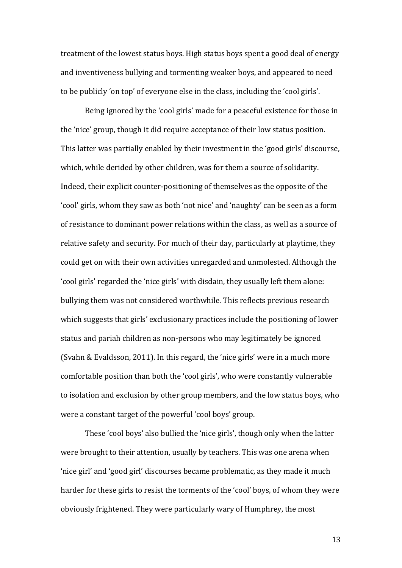treatment of the lowest status boys. High status boys spent a good deal of energy and inventiveness bullying and tormenting weaker boys, and appeared to need to be publicly 'on top' of everyone else in the class, including the 'cool girls'.

Being ignored by the 'cool girls' made for a peaceful existence for those in the 'nice' group, though it did require acceptance of their low status position. This latter was partially enabled by their investment in the 'good girls' discourse, which, while derided by other children, was for them a source of solidarity. Indeed, their explicit counter-positioning of themselves as the opposite of the 'cool' girls, whom they saw as both 'not nice' and 'naughty' can be seen as a form of resistance to dominant power relations within the class, as well as a source of relative safety and security. For much of their day, particularly at playtime, they could get on with their own activities unregarded and unmolested. Although the 'cool girls' regarded the 'nice girls' with disdain, they usually left them alone: bullying them was not considered worthwhile. This reflects previous research which suggests that girls' exclusionary practices include the positioning of lower status and pariah children as non-persons who may legitimately be ignored (Svahn & Evaldsson, 2011). In this regard, the 'nice girls' were in a much more comfortable position than both the 'cool girls', who were constantly vulnerable to isolation and exclusion by other group members, and the low status boys, who were a constant target of the powerful 'cool boys' group.

These 'cool boys' also bullied the 'nice girls', though only when the latter were brought to their attention, usually by teachers. This was one arena when 'nice girl' and 'good girl' discourses became problematic, as they made it much harder for these girls to resist the torments of the 'cool' boys, of whom they were obviously frightened. They were particularly wary of Humphrey, the most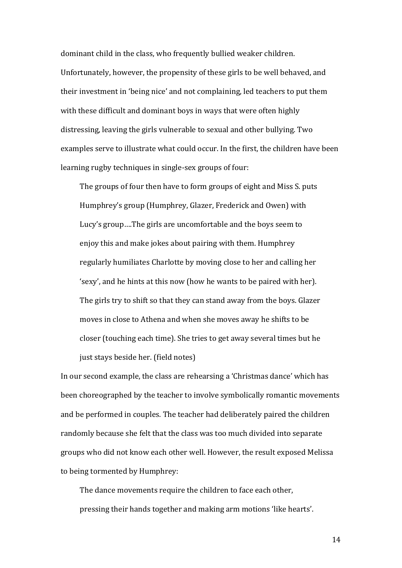dominant child in the class, who frequently bullied weaker children. Unfortunately, however, the propensity of these girls to be well behaved, and their investment in 'being nice' and not complaining, led teachers to put them with these difficult and dominant boys in ways that were often highly distressing, leaving the girls vulnerable to sexual and other bullying. Two examples serve to illustrate what could occur. In the first, the children have been learning rugby techniques in single-sex groups of four:

The groups of four then have to form groups of eight and Miss S. puts Humphrey's group (Humphrey, Glazer, Frederick and Owen) with Lucy's group….The girls are uncomfortable and the boys seem to enjoy this and make jokes about pairing with them. Humphrey regularly humiliates Charlotte by moving close to her and calling her 'sexy', and he hints at this now (how he wants to be paired with her). The girls try to shift so that they can stand away from the boys. Glazer moves in close to Athena and when she moves away he shifts to be closer (touching each time). She tries to get away several times but he just stays beside her. (field notes)

In our second example, the class are rehearsing a 'Christmas dance' which has been choreographed by the teacher to involve symbolically romantic movements and be performed in couples. The teacher had deliberately paired the children randomly because she felt that the class was too much divided into separate groups who did not know each other well. However, the result exposed Melissa to being tormented by Humphrey:

The dance movements require the children to face each other, pressing their hands together and making arm motions 'like hearts'.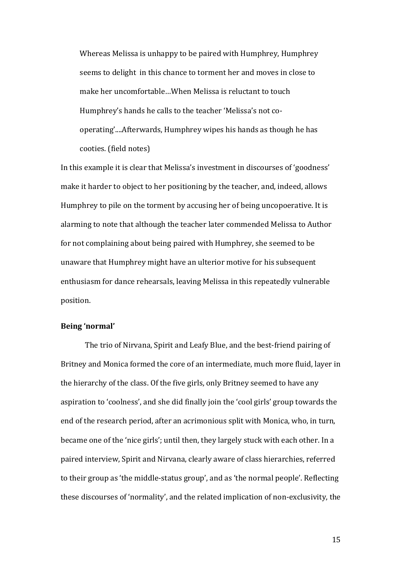Whereas Melissa is unhappy to be paired with Humphrey, Humphrey seems to delight in this chance to torment her and moves in close to make her uncomfortable…When Melissa is reluctant to touch Humphrey's hands he calls to the teacher 'Melissa's not cooperating'....Afterwards, Humphrey wipes his hands as though he has cooties. (field notes)

In this example it is clear that Melissa's investment in discourses of 'goodness' make it harder to object to her positioning by the teacher, and, indeed, allows Humphrey to pile on the torment by accusing her of being uncopoerative. It is alarming to note that although the teacher later commended Melissa to Author for not complaining about being paired with Humphrey, she seemed to be unaware that Humphrey might have an ulterior motive for his subsequent enthusiasm for dance rehearsals, leaving Melissa in this repeatedly vulnerable position.

## **Being 'normal'**

The trio of Nirvana, Spirit and Leafy Blue, and the best-friend pairing of Britney and Monica formed the core of an intermediate, much more fluid, layer in the hierarchy of the class. Of the five girls, only Britney seemed to have any aspiration to 'coolness', and she did finally join the 'cool girls' group towards the end of the research period, after an acrimonious split with Monica, who, in turn, became one of the 'nice girls'; until then, they largely stuck with each other. In a paired interview, Spirit and Nirvana, clearly aware of class hierarchies, referred to their group as 'the middle-status group', and as 'the normal people'. Reflecting these discourses of 'normality', and the related implication of non-exclusivity, the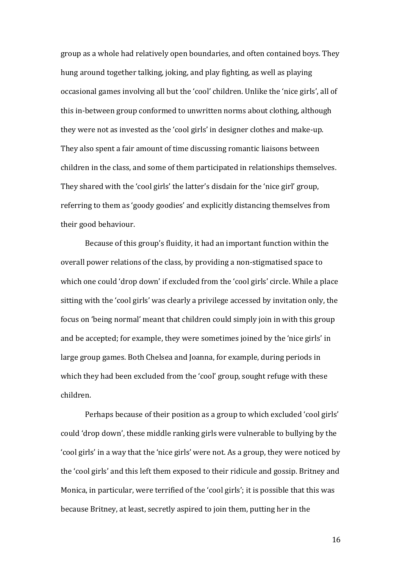group as a whole had relatively open boundaries, and often contained boys. They hung around together talking, joking, and play fighting, as well as playing occasional games involving all but the 'cool' children. Unlike the 'nice girls', all of this in-between group conformed to unwritten norms about clothing, although they were not as invested as the 'cool girls' in designer clothes and make-up. They also spent a fair amount of time discussing romantic liaisons between children in the class, and some of them participated in relationships themselves. They shared with the 'cool girls' the latter's disdain for the 'nice girl' group, referring to them as 'goody goodies' and explicitly distancing themselves from their good behaviour.

Because of this group's fluidity, it had an important function within the overall power relations of the class, by providing a non-stigmatised space to which one could 'drop down' if excluded from the 'cool girls' circle. While a place sitting with the 'cool girls' was clearly a privilege accessed by invitation only, the focus on 'being normal' meant that children could simply join in with this group and be accepted; for example, they were sometimes joined by the 'nice girls' in large group games. Both Chelsea and Joanna, for example, during periods in which they had been excluded from the 'cool' group, sought refuge with these children.

Perhaps because of their position as a group to which excluded 'cool girls' could 'drop down', these middle ranking girls were vulnerable to bullying by the 'cool girls' in a way that the 'nice girls' were not. As a group, they were noticed by the 'cool girls' and this left them exposed to their ridicule and gossip. Britney and Monica, in particular, were terrified of the 'cool girls'; it is possible that this was because Britney, at least, secretly aspired to join them, putting her in the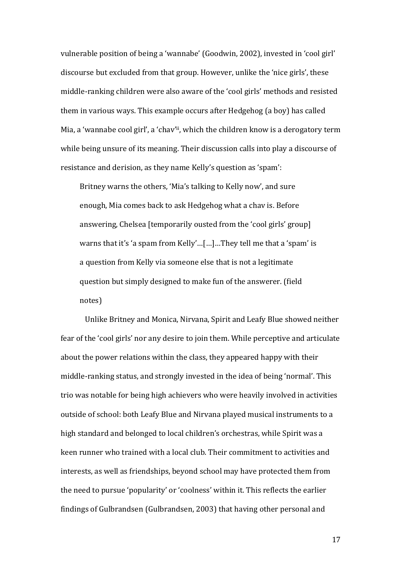vulnerable position of being a 'wannabe' (Goodwin, 2002), invested in 'cool girl' discourse but excluded from that group. However, unlike the 'nice girls', these middle-ranking children were also aware of the 'cool girls' methods and resisted them in various ways. This example occurs after Hedgehog (a boy) has called Mia, a 'wannabe cool girl', a 'chav'ii, which the children know is a derogatory term while being unsure of its meaning. Their discussion calls into play a discourse of resistance and derision, as they name Kelly's question as 'spam':

Britney warns the others, 'Mia's talking to Kelly now', and sure enough, Mia comes back to ask Hedgehog what a chav is. Before answering, Chelsea [temporarily ousted from the 'cool girls' group] warns that it's 'a spam from Kelly'…[…]…They tell me that a 'spam' is a question from Kelly via someone else that is not a legitimate question but simply designed to make fun of the answerer. (field notes)

Unlike Britney and Monica, Nirvana, Spirit and Leafy Blue showed neither fear of the 'cool girls' nor any desire to join them. While perceptive and articulate about the power relations within the class, they appeared happy with their middle-ranking status, and strongly invested in the idea of being 'normal'. This trio was notable for being high achievers who were heavily involved in activities outside of school: both Leafy Blue and Nirvana played musical instruments to a high standard and belonged to local children's orchestras, while Spirit was a keen runner who trained with a local club. Their commitment to activities and interests, as well as friendships, beyond school may have protected them from the need to pursue 'popularity' or 'coolness' within it. This reflects the earlier findings of Gulbrandsen (Gulbrandsen, 2003) that having other personal and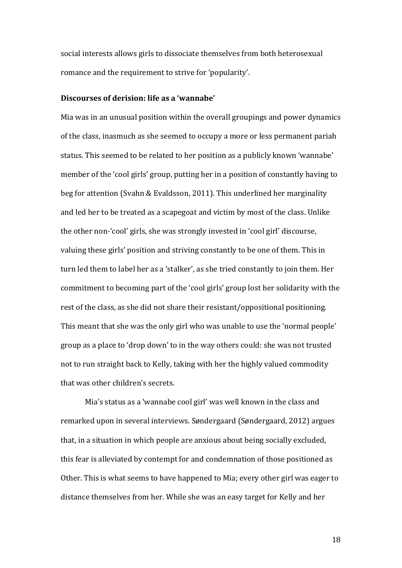social interests allows girls to dissociate themselves from both heterosexual romance and the requirement to strive for 'popularity'.

## **Discourses of derision: life as a 'wannabe'**

Mia was in an unusual position within the overall groupings and power dynamics of the class, inasmuch as she seemed to occupy a more or less permanent pariah status. This seemed to be related to her position as a publicly known 'wannabe' member of the 'cool girls' group, putting her in a position of constantly having to beg for attention (Svahn & Evaldsson, 2011). This underlined her marginality and led her to be treated as a scapegoat and victim by most of the class. Unlike the other non-'cool' girls, she was strongly invested in 'cool girl' discourse, valuing these girls' position and striving constantly to be one of them. This in turn led them to label her as a 'stalker', as she tried constantly to join them. Her commitment to becoming part of the 'cool girls' group lost her solidarity with the rest of the class, as she did not share their resistant/oppositional positioning. This meant that she was the only girl who was unable to use the 'normal people' group as a place to 'drop down' to in the way others could: she was not trusted not to run straight back to Kelly, taking with her the highly valued commodity that was other children's secrets.

Mia's status as a 'wannabe cool girl' was well known in the class and remarked upon in several interviews. Søndergaard (Søndergaard, 2012) argues that, in a situation in which people are anxious about being socially excluded, this fear is alleviated by contempt for and condemnation of those positioned as Other. This is what seems to have happened to Mia; every other girl was eager to distance themselves from her. While she was an easy target for Kelly and her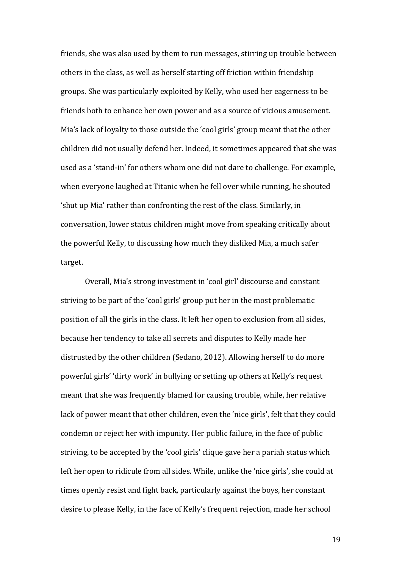friends, she was also used by them to run messages, stirring up trouble between others in the class, as well as herself starting off friction within friendship groups. She was particularly exploited by Kelly, who used her eagerness to be friends both to enhance her own power and as a source of vicious amusement. Mia's lack of loyalty to those outside the 'cool girls' group meant that the other children did not usually defend her. Indeed, it sometimes appeared that she was used as a 'stand-in' for others whom one did not dare to challenge. For example, when everyone laughed at Titanic when he fell over while running, he shouted 'shut up Mia' rather than confronting the rest of the class. Similarly, in conversation, lower status children might move from speaking critically about the powerful Kelly, to discussing how much they disliked Mia, a much safer target.

Overall, Mia's strong investment in 'cool girl' discourse and constant striving to be part of the 'cool girls' group put her in the most problematic position of all the girls in the class. It left her open to exclusion from all sides, because her tendency to take all secrets and disputes to Kelly made her distrusted by the other children (Sedano, 2012). Allowing herself to do more powerful girls' 'dirty work' in bullying or setting up others at Kelly's request meant that she was frequently blamed for causing trouble, while, her relative lack of power meant that other children, even the 'nice girls', felt that they could condemn or reject her with impunity. Her public failure, in the face of public striving, to be accepted by the 'cool girls' clique gave her a pariah status which left her open to ridicule from all sides. While, unlike the 'nice girls', she could at times openly resist and fight back, particularly against the boys, her constant desire to please Kelly, in the face of Kelly's frequent rejection, made her school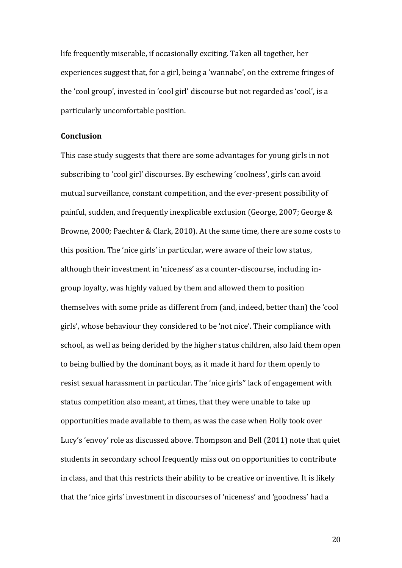life frequently miserable, if occasionally exciting. Taken all together, her experiences suggest that, for a girl, being a 'wannabe', on the extreme fringes of the 'cool group', invested in 'cool girl' discourse but not regarded as 'cool', is a particularly uncomfortable position.

## **Conclusion**

This case study suggests that there are some advantages for young girls in not subscribing to 'cool girl' discourses. By eschewing 'coolness', girls can avoid mutual surveillance, constant competition, and the ever-present possibility of painful, sudden, and frequently inexplicable exclusion (George, 2007; George & Browne, 2000; Paechter & Clark, 2010). At the same time, there are some costs to this position. The 'nice girls' in particular, were aware of their low status, although their investment in 'niceness' as a counter-discourse, including ingroup loyalty, was highly valued by them and allowed them to position themselves with some pride as different from (and, indeed, better than) the 'cool girls', whose behaviour they considered to be 'not nice'. Their compliance with school, as well as being derided by the higher status children, also laid them open to being bullied by the dominant boys, as it made it hard for them openly to resist sexual harassment in particular. The 'nice girls'' lack of engagement with status competition also meant, at times, that they were unable to take up opportunities made available to them, as was the case when Holly took over Lucy's 'envoy' role as discussed above. Thompson and Bell (2011) note that quiet students in secondary school frequently miss out on opportunities to contribute in class, and that this restricts their ability to be creative or inventive. It is likely that the 'nice girls' investment in discourses of 'niceness' and 'goodness' had a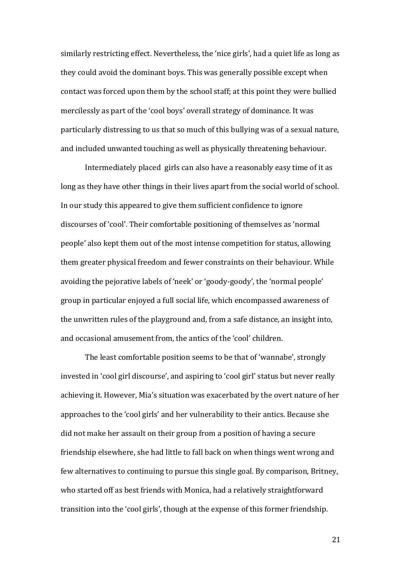similarly restricting effect. Nevertheless, the 'nice girls', had a quiet life as long as they could avoid the dominant boys. This was generally possible except when contact was forced upon them by the school staff; at this point they were bullied mercilessly as part of the 'cool boys' overall strategy of dominance. It was particularly distressing to us that so much of this bullying was of a sexual nature, and included unwanted touching as well as physically threatening behaviour.

Intermediately placed girls can also have a reasonably easy time of it as long as they have other things in their lives apart from the social world of school. In our study this appeared to give them sufficient confidence to ignore discourses of 'cool'. Their comfortable positioning of themselves as 'normal people' also kept them out of the most intense competition for status, allowing them greater physical freedom and fewer constraints on their behaviour. While avoiding the pejorative labels of 'neek' or 'goody-goody', the 'normal people' group in particular enjoyed a full social life, which encompassed awareness of the unwritten rules of the playground and, from a safe distance, an insight into, and occasional amusement from, the antics of the 'cool' children.

The least comfortable position seems to be that of 'wannabe', strongly invested in 'cool girl discourse', and aspiring to 'cool girl' status but never really achieving it. However, Mia's situation was exacerbated by the overt nature of her approaches to the 'cool girls' and her vulnerability to their antics. Because she did not make her assault on their group from a position of having a secure friendship elsewhere, she had little to fall back on when things went wrong and few alternatives to continuing to pursue this single goal. By comparison, Britney, who started off as best friends with Monica, had a relatively straightforward transition into the 'cool girls', though at the expense of this former friendship.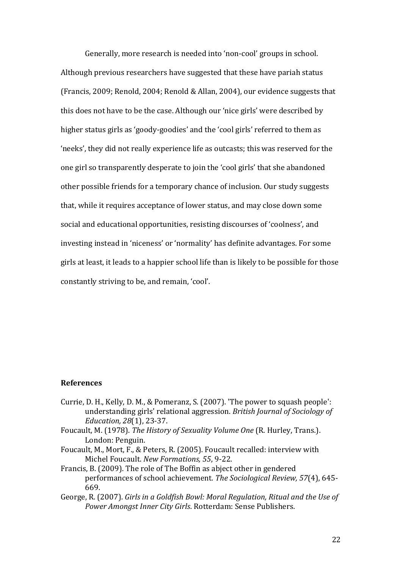Generally, more research is needed into 'non-cool' groups in school. Although previous researchers have suggested that these have pariah status (Francis, 2009; Renold, 2004; Renold & Allan, 2004), our evidence suggests that this does not have to be the case. Although our 'nice girls' were described by higher status girls as 'goody-goodies' and the 'cool girls' referred to them as 'neeks', they did not really experience life as outcasts; this was reserved for the one girl so transparently desperate to join the 'cool girls' that she abandoned other possible friends for a temporary chance of inclusion. Our study suggests that, while it requires acceptance of lower status, and may close down some social and educational opportunities, resisting discourses of 'coolness', and investing instead in 'niceness' or 'normality' has definite advantages. For some girls at least, it leads to a happier school life than is likely to be possible for those constantly striving to be, and remain, 'cool'.

## **References**

- Currie, D. H., Kelly, D. M., & Pomeranz, S. (2007). 'The power to squash people': understanding girls' relational aggression. *British Journal of Sociology of Education, 28*(1), 23-37.
- Foucault, M. (1978). *The History of Sexuality Volume One* (R. Hurley, Trans.). London: Penguin.
- Foucault, M., Mort, F., & Peters, R. (2005). Foucault recalled: interview with Michel Foucault. *New Formations, 55*, 9-22.
- Francis, B. (2009). The role of The Boffin as abject other in gendered performances of school achievement. *The Sociological Review, 57*(4), 645- 669.
- George, R. (2007). *Girls in a Goldfish Bowl: Moral Regulation, Ritual and the Use of Power Amongst Inner City Girls*. Rotterdam: Sense Publishers.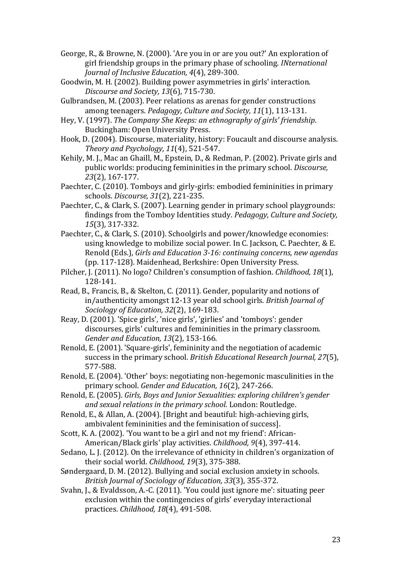- George, R., & Browne, N. (2000). 'Are you in or are you out?' An exploration of girl friendship groups in the primary phase of schooling. *INternational Journal of Inclusive Education, 4*(4), 289-300.
- Goodwin, M. H. (2002). Building power asymmetries in girls' interaction. *Discourse and Society, 13*(6), 715-730.
- Gulbrandsen, M. (2003). Peer relations as arenas for gender constructions among teenagers. *Pedagogy, Culture and Society, 11*(1), 113-131.
- Hey, V. (1997). *The Company She Keeps: an ethnography of girls' friendship*. Buckingham: Open University Press.
- Hook, D. (2004). Discourse, materiality, history: Foucault and discourse analysis. *Theory and Psychology, 11*(4), 521-547.
- Kehily, M. J., Mac an Ghaill, M., Epstein, D., & Redman, P. (2002). Private girls and public worlds: producing femininities in the primary school. *Discourse, 23*(2), 167-177.
- Paechter, C. (2010). Tomboys and girly-girls: embodied femininities in primary schools. *Discourse, 31*(2), 221-235.
- Paechter, C., & Clark, S. (2007). Learning gender in primary school playgrounds: findings from the Tomboy Identities study. *Pedagogy, Culture and Society, 15*(3), 317-332.
- Paechter, C., & Clark, S. (2010). Schoolgirls and power/knowledge economies: using knowledge to mobilize social power. In C. Jackson, C. Paechter, & E. Renold (Eds.), *Girls and Education 3-16: continuing concerns, new agendas* (pp. 117-128). Maidenhead, Berkshire: Open University Press.
- Pilcher, J. (2011). No logo? Children's consumption of fashion. *Childhood, 18*(1), 128-141.
- Read, B., Francis, B., & Skelton, C. (2011). Gender, popularity and notions of in/authenticity amongst 12-13 year old school girls. *British Journal of Sociology of Education, 32*(2), 169-183.
- Reay, D. (2001). 'Spice girls', 'nice girls', 'girlies' and 'tomboys': gender discourses, girls' cultures and femininities in the primary classroom. *Gender and Education, 13*(2), 153-166.
- Renold, E. (2001). 'Square-girls', femininity and the negotiation of academic success in the primary school. *British Educational Research Journal, 27*(5), 577-588.
- Renold, E. (2004). 'Other' boys: negotiating non-hegemonic masculinities in the primary school. *Gender and Education, 16*(2), 247-266.
- Renold, E. (2005). *Girls, Boys and Junior Sexualities: exploring children's gender and sexual relations in the primary school*. London: Routledge.
- Renold, E., & Allan, A. (2004). [Bright and beautiful: high-achieving girls, ambivalent femininities and the feminisation of success].
- Scott, K. A. (2002). 'You want to be a girl and not my friend': African-American/Black girls' play activities. *Childhood, 9*(4), 397-414.
- Sedano, L. J. (2012). On the irrelevance of ethnicity in children's organization of their social world. *Childhood, 19*(3), 375-388.
- Søndergaard, D. M. (2012). Bullying and social exclusion anxiety in schools. *British Journal of Sociology of Education, 33*(3), 355-372.
- Svahn, J., & Evaldsson, A.-C. (2011). 'You could just ignore me': situating peer exclusion within the contingencies of girls' everyday interactional practices. *Childhood, 18*(4), 491-508.